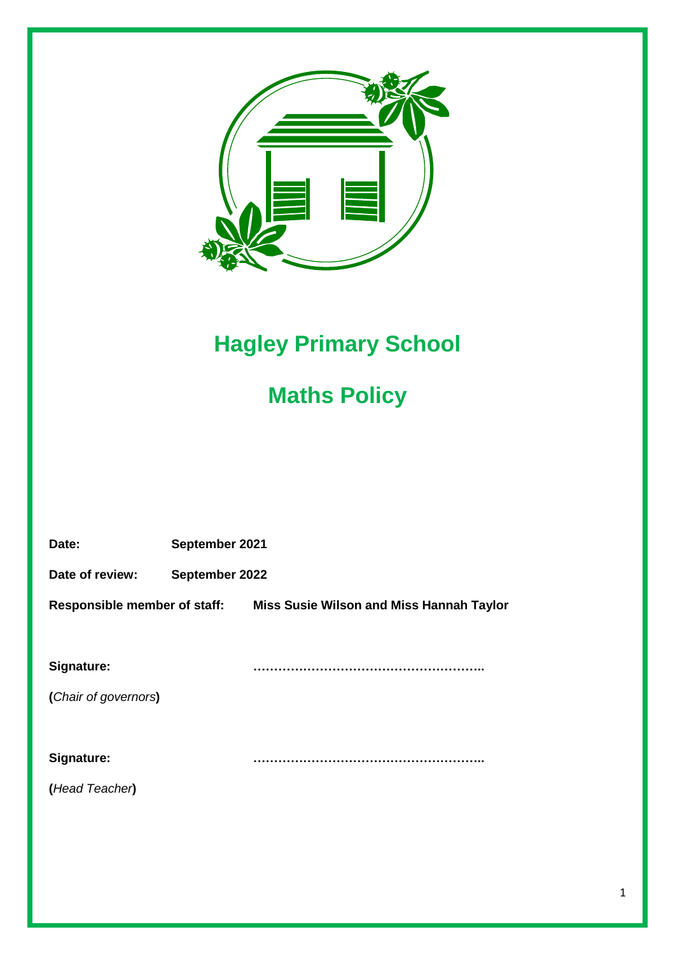

# **Hagley Primary School**

## **Maths Policy**

| Date:                               | September 2021 |                                          |
|-------------------------------------|----------------|------------------------------------------|
| Date of review:                     | September 2022 |                                          |
| <b>Responsible member of staff:</b> |                | Miss Susie Wilson and Miss Hannah Taylor |
|                                     |                |                                          |
| Signature:                          |                |                                          |
| (Chair of governors)                |                |                                          |
|                                     |                |                                          |
| Signature:                          |                |                                          |
| (Head Teacher)                      |                |                                          |
|                                     |                |                                          |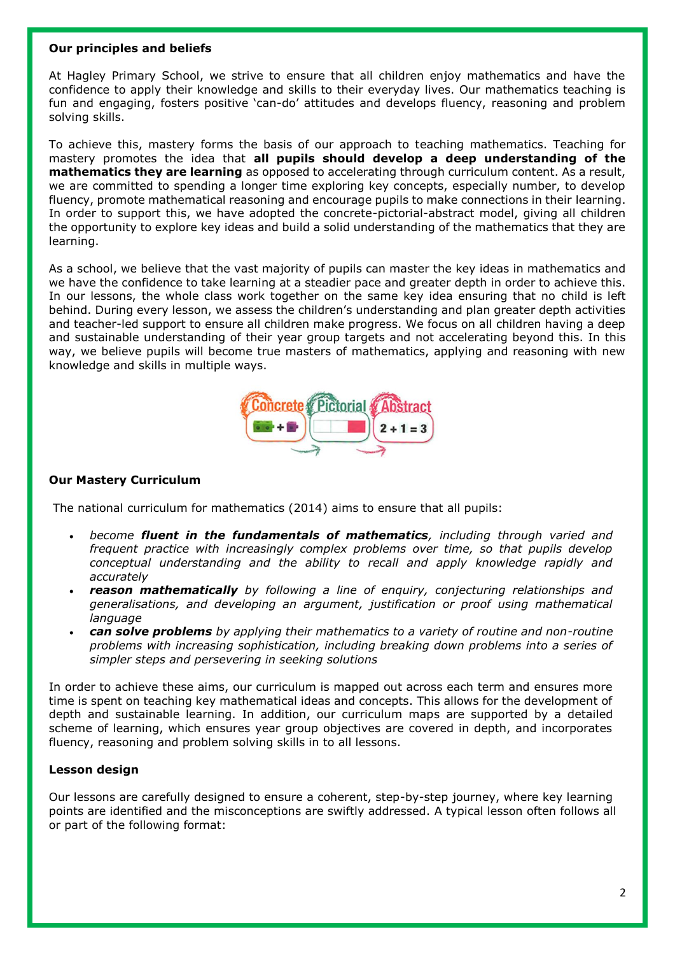#### **Our principles and beliefs**

At Hagley Primary School, we strive to ensure that all children enjoy mathematics and have the confidence to apply their knowledge and skills to their everyday lives. Our mathematics teaching is fun and engaging, fosters positive 'can-do' attitudes and develops fluency, reasoning and problem solving skills.

To achieve this, mastery forms the basis of our approach to teaching mathematics. Teaching for mastery promotes the idea that **all pupils should develop a deep understanding of the mathematics they are learning** as opposed to accelerating through curriculum content. As a result, we are committed to spending a longer time exploring key concepts, especially number, to develop fluency, promote mathematical reasoning and encourage pupils to make connections in their learning. In order to support this, we have adopted the concrete-pictorial-abstract model, giving all children the opportunity to explore key ideas and build a solid understanding of the mathematics that they are learning.

As a school, we believe that the vast majority of pupils can master the key ideas in mathematics and we have the confidence to take learning at a steadier pace and greater depth in order to achieve this. In our lessons, the whole class work together on the same key idea ensuring that no child is left behind. During every lesson, we assess the children's understanding and plan greater depth activities and teacher-led support to ensure all children make progress. We focus on all children having a deep and sustainable understanding of their year group targets and not accelerating beyond this. In this way, we believe pupils will become true masters of mathematics, applying and reasoning with new knowledge and skills in multiple ways.



## **Our Mastery Curriculum**

The national curriculum for mathematics (2014) aims to ensure that all pupils:

- *become fluent in the fundamentals of mathematics, including through varied and frequent practice with increasingly complex problems over time, so that pupils develop conceptual understanding and the ability to recall and apply knowledge rapidly and accurately*
- *reason mathematically by following a line of enquiry, conjecturing relationships and generalisations, and developing an argument, justification or proof using mathematical language*
- *can solve problems by applying their mathematics to a variety of routine and non-routine problems with increasing sophistication, including breaking down problems into a series of simpler steps and persevering in seeking solutions*

In order to achieve these aims, our curriculum is mapped out across each term and ensures more time is spent on teaching key mathematical ideas and concepts. This allows for the development of depth and sustainable learning. In addition, our curriculum maps are supported by a detailed scheme of learning, which ensures year group objectives are covered in depth, and incorporates fluency, reasoning and problem solving skills in to all lessons.

#### **Lesson design**

Our lessons are carefully designed to ensure a coherent, step-by-step journey, where key learning points are identified and the misconceptions are swiftly addressed. A typical lesson often follows all or part of the following format: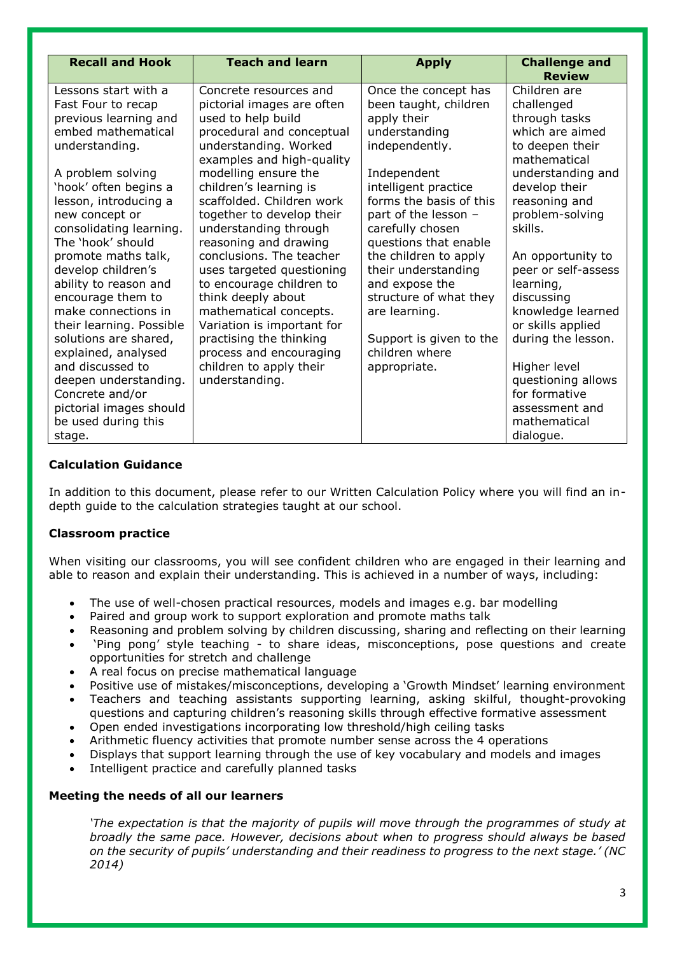| <b>Recall and Hook</b><br><b>Teach and learn</b>                                                                                                                                                                                                                                                                                                                                                                                                                                                                                                                                                                                                                                                                                                                                                                                                                                                                                                                                                                                                                                                                                                                                    |                                                                                                                                                                                                                                                                                                                                                                                                                  |                                                                                                                                                                                                                                                                                                                                                                                                                                     |
|-------------------------------------------------------------------------------------------------------------------------------------------------------------------------------------------------------------------------------------------------------------------------------------------------------------------------------------------------------------------------------------------------------------------------------------------------------------------------------------------------------------------------------------------------------------------------------------------------------------------------------------------------------------------------------------------------------------------------------------------------------------------------------------------------------------------------------------------------------------------------------------------------------------------------------------------------------------------------------------------------------------------------------------------------------------------------------------------------------------------------------------------------------------------------------------|------------------------------------------------------------------------------------------------------------------------------------------------------------------------------------------------------------------------------------------------------------------------------------------------------------------------------------------------------------------------------------------------------------------|-------------------------------------------------------------------------------------------------------------------------------------------------------------------------------------------------------------------------------------------------------------------------------------------------------------------------------------------------------------------------------------------------------------------------------------|
|                                                                                                                                                                                                                                                                                                                                                                                                                                                                                                                                                                                                                                                                                                                                                                                                                                                                                                                                                                                                                                                                                                                                                                                     | <b>Apply</b>                                                                                                                                                                                                                                                                                                                                                                                                     | <b>Challenge and</b><br><b>Review</b>                                                                                                                                                                                                                                                                                                                                                                                               |
| Lessons start with a<br>Concrete resources and<br>Fast Four to recap<br>pictorial images are often<br>previous learning and<br>used to help build<br>embed mathematical<br>procedural and conceptual<br>understanding. Worked<br>understanding.<br>examples and high-quality<br>A problem solving<br>modelling ensure the<br>'hook' often begins a<br>children's learning is<br>scaffolded. Children work<br>lesson, introducing a<br>together to develop their<br>new concept or<br>consolidating learning.<br>understanding through<br>The 'hook' should<br>reasoning and drawing<br>conclusions. The teacher<br>promote maths talk,<br>develop children's<br>uses targeted questioning<br>ability to reason and<br>to encourage children to<br>encourage them to<br>think deeply about<br>make connections in<br>mathematical concepts.<br>their learning. Possible<br>Variation is important for<br>solutions are shared,<br>practising the thinking<br>explained, analysed<br>process and encouraging<br>and discussed to<br>children to apply their<br>deepen understanding.<br>understanding.<br>Concrete and/or<br>pictorial images should<br>be used during this<br>stage. | Once the concept has<br>been taught, children<br>apply their<br>understanding<br>independently.<br>Independent<br>intelligent practice<br>forms the basis of this<br>part of the lesson -<br>carefully chosen<br>questions that enable<br>the children to apply<br>their understanding<br>and expose the<br>structure of what they<br>are learning.<br>Support is given to the<br>children where<br>appropriate. | Children are<br>challenged<br>through tasks<br>which are aimed<br>to deepen their<br>mathematical<br>understanding and<br>develop their<br>reasoning and<br>problem-solving<br>skills.<br>An opportunity to<br>peer or self-assess<br>learning,<br>discussing<br>knowledge learned<br>or skills applied<br>during the lesson.<br>Higher level<br>questioning allows<br>for formative<br>assessment and<br>mathematical<br>dialogue. |

## **Calculation Guidance**

In addition to this document, please refer to our Written Calculation Policy where you will find an indepth guide to the calculation strategies taught at our school.

## **Classroom practice**

When visiting our classrooms, you will see confident children who are engaged in their learning and able to reason and explain their understanding. This is achieved in a number of ways, including:

- The use of well-chosen practical resources, models and images e.g. bar modelling
- Paired and group work to support exploration and promote maths talk
- Reasoning and problem solving by children discussing, sharing and reflecting on their learning 'Ping pong' style teaching - to share ideas, misconceptions, pose questions and create opportunities for stretch and challenge
- A real focus on precise mathematical language
- Positive use of mistakes/misconceptions, developing a 'Growth Mindset' learning environment
- Teachers and teaching assistants supporting learning, asking skilful, thought-provoking questions and capturing children's reasoning skills through effective formative assessment
- Open ended investigations incorporating low threshold/high ceiling tasks
- Arithmetic fluency activities that promote number sense across the 4 operations
- Displays that support learning through the use of key vocabulary and models and images
- Intelligent practice and carefully planned tasks

#### **Meeting the needs of all our learners**

*'The expectation is that the majority of pupils will move through the programmes of study at broadly the same pace. However, decisions about when to progress should always be based on the security of pupils' understanding and their readiness to progress to the next stage.' (NC 2014)*